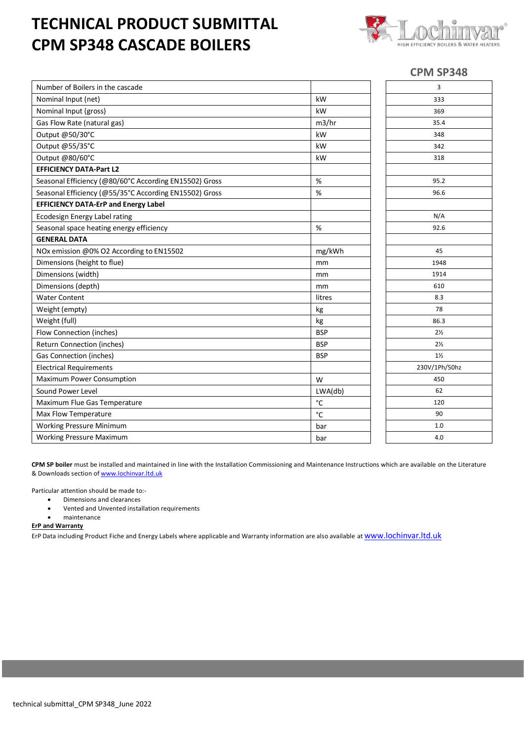## **TECHNICAL PRODUCT SUBMITTAL CPM SP348 CASCADE BOILERS**



## **CPM SP348**

| Number of Boilers in the cascade                       |              | 3              |
|--------------------------------------------------------|--------------|----------------|
| Nominal Input (net)                                    | kW           | 333            |
| Nominal Input (gross)                                  | kW           | 369            |
| Gas Flow Rate (natural gas)                            | m3/hr        | 35.4           |
| Output @50/30°C                                        | kW           | 348            |
| Output @55/35°C                                        | kW           | 342            |
| Output @80/60°C                                        | kW           | 318            |
| <b>EFFICIENCY DATA-Part L2</b>                         |              |                |
| Seasonal Efficiency (@80/60°C According EN15502) Gross | %            | 95.2           |
| Seasonal Efficiency (@55/35°C According EN15502) Gross | $\%$         | 96.6           |
| <b>EFFICIENCY DATA-ErP and Energy Label</b>            |              |                |
| Ecodesign Energy Label rating                          |              | N/A            |
| Seasonal space heating energy efficiency               | %            | 92.6           |
| <b>GENERAL DATA</b>                                    |              |                |
| NOx emission @0% O2 According to EN15502               | mg/kWh       | 45             |
| Dimensions (height to flue)                            | mm           | 1948           |
| Dimensions (width)                                     | mm           | 1914           |
| Dimensions (depth)                                     | mm           | 610            |
| <b>Water Content</b>                                   | litres       | 8.3            |
| Weight (empty)                                         | kg           | 78             |
| Weight (full)                                          | kg           | 86.3           |
| Flow Connection (inches)                               | <b>BSP</b>   | $2\frac{1}{2}$ |
| Return Connection (inches)                             | <b>BSP</b>   | $2\frac{1}{2}$ |
| Gas Connection (inches)                                | <b>BSP</b>   | $1\frac{1}{2}$ |
| <b>Electrical Requirements</b>                         |              | 230V/1Ph/50hz  |
| Maximum Power Consumption                              | W            | 450            |
| Sound Power Level                                      | LWA(db)      | 62             |
| Maximum Flue Gas Temperature                           | °C           | 120            |
| Max Flow Temperature                                   | $^{\circ}$ C | 90             |
| Working Pressure Minimum                               | bar          | 1.0            |
| <b>Working Pressure Maximum</b>                        | bar          | 4.0            |

**CPM SP boiler** must be installed and maintained in line with the Installation Commissioning and Maintenance Instructions which are available on the Literature & Downloads section of [www.lochinvar.ltd.uk](http://www.lochinvar.ltd.uk/)

Particular attention should be made to:-

- Dimensions and clearances
- Vented and Unvented installation requirements
- maintenance

**ErP and Warranty**

ErP Data including Product Fiche and Energy Labels where applicable and Warranty information are also available at **WWW.lochinvar.ltd.uk**